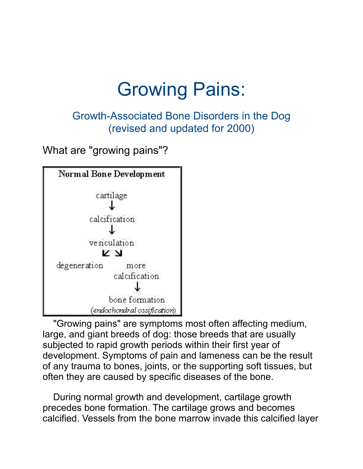# Growing Pains:

Growth-Associated Bone Disorders in the Dog (revised and updated for 2000)

What are "growing pains"?



 "Growing pains" are symptoms most often affecting medium, large, and giant breeds of dog: those breeds that are usually subjected to rapid growth periods within their first year of development. Symptoms of pain and lameness can be the result of any trauma to bones, joints, or the supporting soft tissues, but often they are caused by specific diseases of the bone.

 During normal growth and development, cartilage growth precedes bone formation. The cartilage grows and becomes calcified. Vessels from the bone marrow invade this calcified layer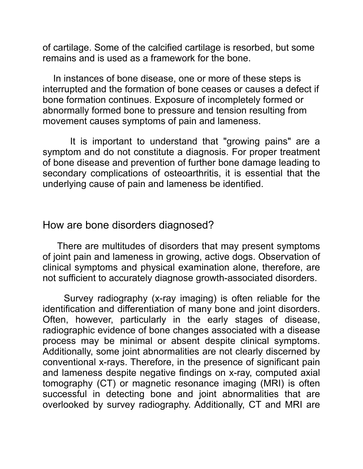of cartilage. Some of the calcified cartilage is resorbed, but some remains and is used as a framework for the bone.

 In instances of bone disease, one or more of these steps is interrupted and the formation of bone ceases or causes a defect if bone formation continues. Exposure of incompletely formed or abnormally formed bone to pressure and tension resulting from movement causes symptoms of pain and lameness.

 It is important to understand that "growing pains" are a symptom and do not constitute a diagnosis. For proper treatment of bone disease and prevention of further bone damage leading to secondary complications of osteoarthritis, it is essential that the underlying cause of pain and lameness be identified.

How are bone disorders diagnosed?

 There are multitudes of disorders that may present symptoms of joint pain and lameness in growing, active dogs. Observation of clinical symptoms and physical examination alone, therefore, are not sufficient to accurately diagnose growth-associated disorders.

 Survey radiography (x-ray imaging) is often reliable for the identification and differentiation of many bone and joint disorders. Often, however, particularly in the early stages of disease, radiographic evidence of bone changes associated with a disease process may be minimal or absent despite clinical symptoms. Additionally, some joint abnormalities are not clearly discerned by conventional x-rays. Therefore, in the presence of significant pain and lameness despite negative findings on x-ray, computed axial tomography (CT) or magnetic resonance imaging (MRI) is often successful in detecting bone and joint abnormalities that are overlooked by survey radiography. Additionally, CT and MRI are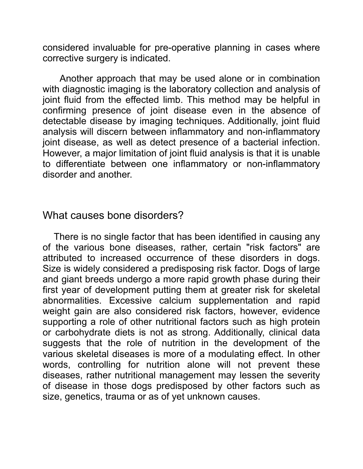considered invaluable for pre-operative planning in cases where corrective surgery is indicated.

 Another approach that may be used alone or in combination with diagnostic imaging is the laboratory collection and analysis of joint fluid from the effected limb. This method may be helpful in confirming presence of joint disease even in the absence of detectable disease by imaging techniques. Additionally, joint fluid analysis will discern between inflammatory and non-inflammatory joint disease, as well as detect presence of a bacterial infection. However, a major limitation of joint fluid analysis is that it is unable to differentiate between one inflammatory or non-inflammatory disorder and another.

#### What causes bone disorders?

 There is no single factor that has been identified in causing any of the various bone diseases, rather, certain "risk factors" are attributed to increased occurrence of these disorders in dogs. Size is widely considered a predisposing risk factor. Dogs of large and giant breeds undergo a more rapid growth phase during their first year of development putting them at greater risk for skeletal abnormalities. Excessive calcium supplementation and rapid weight gain are also considered risk factors, however, evidence supporting a role of other nutritional factors such as high protein or carbohydrate diets is not as strong. Additionally, clinical data suggests that the role of nutrition in the development of the various skeletal diseases is more of a modulating effect. In other words, controlling for nutrition alone will not prevent these diseases, rather nutritional management may lessen the severity of disease in those dogs predisposed by other factors such as size, genetics, trauma or as of yet unknown causes.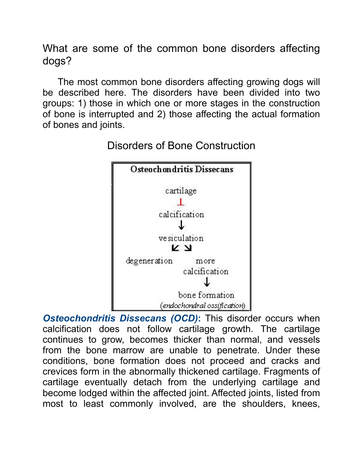What are some of the common bone disorders affecting dogs?

 The most common bone disorders affecting growing dogs will be described here. The disorders have been divided into two groups: 1) those in which one or more stages in the construction of bone is interrupted and 2) those affecting the actual formation of bones and joints.



Disorders of Bone Construction

**Osteochondritis Dissecans (OCD):** This disorder occurs when calcification does not follow cartilage growth. The cartilage continues to grow, becomes thicker than normal, and vessels from the bone marrow are unable to penetrate. Under these conditions, bone formation does not proceed and cracks and crevices form in the abnormally thickened cartilage. Fragments of cartilage eventually detach from the underlying cartilage and become lodged within the affected joint. Affected joints, listed from most to least commonly involved, are the shoulders, knees,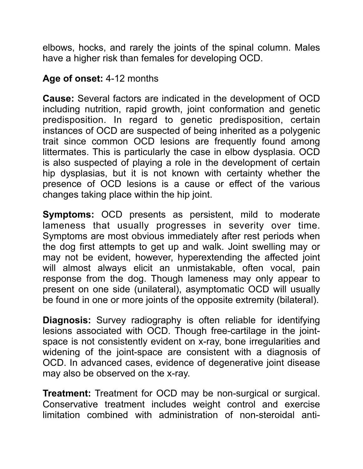elbows, hocks, and rarely the joints of the spinal column. Males have a higher risk than females for developing OCD.

#### **Age of onset:** 4-12 months

**Cause:** Several factors are indicated in the development of OCD including nutrition, rapid growth, joint conformation and genetic predisposition. In regard to genetic predisposition, certain instances of OCD are suspected of being inherited as a polygenic trait since common OCD lesions are frequently found among littermates. This is particularly the case in elbow dysplasia. OCD is also suspected of playing a role in the development of certain hip dysplasias, but it is not known with certainty whether the presence of OCD lesions is a cause or effect of the various changes taking place within the hip joint.

**Symptoms:** OCD presents as persistent, mild to moderate lameness that usually progresses in severity over time. Symptoms are most obvious immediately after rest periods when the dog first attempts to get up and walk. Joint swelling may or may not be evident, however, hyperextending the affected joint will almost always elicit an unmistakable, often vocal, pain response from the dog. Though lameness may only appear to present on one side (unilateral), asymptomatic OCD will usually be found in one or more joints of the opposite extremity (bilateral).

**Diagnosis:** Survey radiography is often reliable for identifying lesions associated with OCD. Though free-cartilage in the jointspace is not consistently evident on x-ray, bone irregularities and widening of the joint-space are consistent with a diagnosis of OCD. In advanced cases, evidence of degenerative joint disease may also be observed on the x-ray.

**Treatment:** Treatment for OCD may be non-surgical or surgical. Conservative treatment includes weight control and exercise limitation combined with administration of non-steroidal anti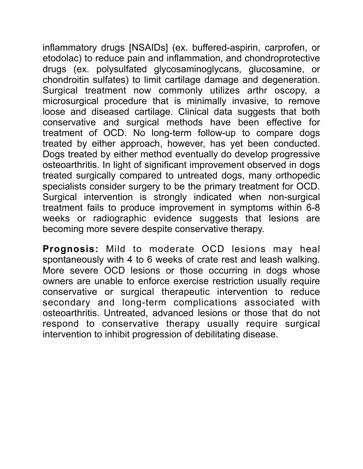inflammatory drugs [NSAIDs] (ex. buffered-aspirin, carprofen, or etodolac) to reduce pain and inflammation, and chondroprotective drugs (ex. polysulfated glycosaminoglycans, glucosamine, or chondroitin sulfates) to limit cartilage damage and degeneration. Surgical treatment now commonly utilizes arthr oscopy, a microsurgical procedure that is minimally invasive, to remove loose and diseased cartilage. Clinical data suggests that both conservative and surgical methods have been effective for treatment of OCD. No long-term follow-up to compare dogs treated by either approach, however, has yet been conducted. Dogs treated by either method eventually do develop progressive osteoarthritis. In light of significant improvement observed in dogs treated surgically compared to untreated dogs, many orthopedic specialists consider surgery to be the primary treatment for OCD. Surgical intervention is strongly indicated when non-surgical treatment fails to produce improvement in symptoms within 6-8 weeks or radiographic evidence suggests that lesions are becoming more severe despite conservative therapy.

**Prognosis:** Mild to moderate OCD lesions may heal spontaneously with 4 to 6 weeks of crate rest and leash walking. More severe OCD lesions or those occurring in dogs whose owners are unable to enforce exercise restriction usually require conservative or surgical therapeutic intervention to reduce secondary and long-term complications associated with osteoarthritis. Untreated, advanced lesions or those that do not respond to conservative therapy usually require surgical intervention to inhibit progression of debilitating disease.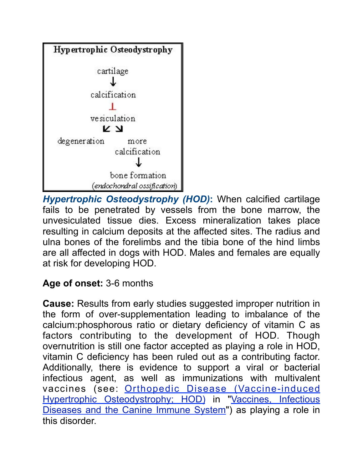

*Hypertrophic Osteodystrophy (HOD)***:** When calcified cartilage fails to be penetrated by vessels from the bone marrow, the unvesiculated tissue dies. Excess mineralization takes place resulting in calcium deposits at the affected sites. The radius and ulna bones of the forelimbs and the tibia bone of the hind limbs are all affected in dogs with HOD. Males and females are equally at risk for developing HOD.

## **Age of onset:** 3-6 months

**Cause:** Results from early studies suggested improper nutrition in the form of over-supplementation leading to imbalance of the calcium:phosphorous ratio or dietary deficiency of vitamin C as factors contributing to the development of HOD. Though overnutrition is still one factor accepted as playing a role in HOD, vitamin C deficiency has been ruled out as a contributing factor. Additionally, there is evidence to support a viral or bacterial infectious agent, as well as immunizations with multivalent vaccines (see: [Orthopedic Disease \(Vaccine-induced](http://www.labbies.com/immun.htm#Orthopedic%20Disease%20(Vaccine-induced%20Hypertrophic%20Osteodystrophy))  [Hypertrophic Osteodystrophy; HOD\)](http://www.labbies.com/immun.htm#Orthopedic%20Disease%20(Vaccine-induced%20Hypertrophic%20Osteodystrophy)) in "[Vaccines, Infectious](http://www.labbies.com/immun.htm)  [Diseases and the Canine Immune System"](http://www.labbies.com/immun.htm)) as playing a role in this disorder.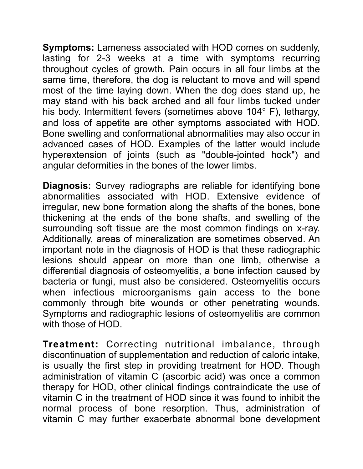**Symptoms:** Lameness associated with HOD comes on suddenly, lasting for 2-3 weeks at a time with symptoms recurring throughout cycles of growth. Pain occurs in all four limbs at the same time, therefore, the dog is reluctant to move and will spend most of the time laying down. When the dog does stand up, he may stand with his back arched and all four limbs tucked under his body. Intermittent fevers (sometimes above 104° F), lethargy, and loss of appetite are other symptoms associated with HOD. Bone swelling and conformational abnormalities may also occur in advanced cases of HOD. Examples of the latter would include hyperextension of joints (such as "double-jointed hock") and angular deformities in the bones of the lower limbs.

**Diagnosis:** Survey radiographs are reliable for identifying bone abnormalities associated with HOD. Extensive evidence of irregular, new bone formation along the shafts of the bones, bone thickening at the ends of the bone shafts, and swelling of the surrounding soft tissue are the most common findings on x-ray. Additionally, areas of mineralization are sometimes observed. An important note in the diagnosis of HOD is that these radiographic lesions should appear on more than one limb, otherwise a differential diagnosis of osteomyelitis, a bone infection caused by bacteria or fungi, must also be considered. Osteomyelitis occurs when infectious microorganisms gain access to the bone commonly through bite wounds or other penetrating wounds. Symptoms and radiographic lesions of osteomyelitis are common with those of HOD.

**Treatment:** Correcting nutritional imbalance, through discontinuation of supplementation and reduction of caloric intake, is usually the first step in providing treatment for HOD. Though administration of vitamin C (ascorbic acid) was once a common therapy for HOD, other clinical findings contraindicate the use of vitamin C in the treatment of HOD since it was found to inhibit the normal process of bone resorption. Thus, administration of vitamin C may further exacerbate abnormal bone development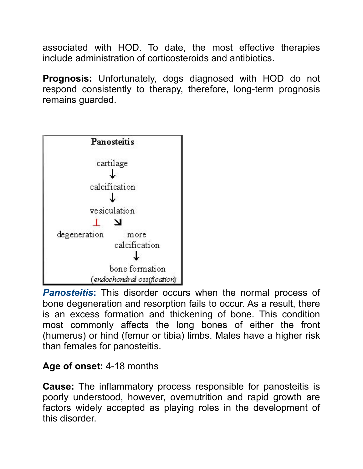associated with HOD. To date, the most effective therapies include administration of corticosteroids and antibiotics.

**Prognosis:** Unfortunately, dogs diagnosed with HOD do not respond consistently to therapy, therefore, long-term prognosis remains guarded.



*Panosteitis***:** This disorder occurs when the normal process of bone degeneration and resorption fails to occur. As a result, there is an excess formation and thickening of bone. This condition most commonly affects the long bones of either the front (humerus) or hind (femur or tibia) limbs. Males have a higher risk than females for panosteitis.

## **Age of onset:** 4-18 months

**Cause:** The inflammatory process responsible for panosteitis is poorly understood, however, overnutrition and rapid growth are factors widely accepted as playing roles in the development of this disorder.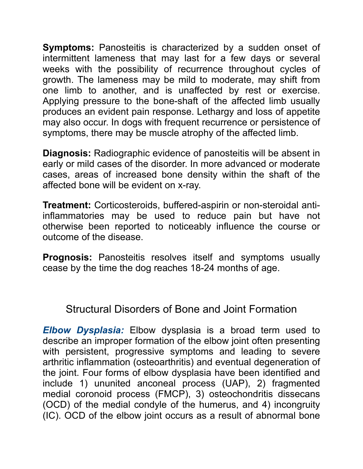**Symptoms:** Panosteitis is characterized by a sudden onset of intermittent lameness that may last for a few days or several weeks with the possibility of recurrence throughout cycles of growth. The lameness may be mild to moderate, may shift from one limb to another, and is unaffected by rest or exercise. Applying pressure to the bone-shaft of the affected limb usually produces an evident pain response. Lethargy and loss of appetite may also occur. In dogs with frequent recurrence or persistence of symptoms, there may be muscle atrophy of the affected limb.

**Diagnosis:** Radiographic evidence of panosteitis will be absent in early or mild cases of the disorder. In more advanced or moderate cases, areas of increased bone density within the shaft of the affected bone will be evident on x-ray.

**Treatment:** Corticosteroids, buffered-aspirin or non-steroidal antiinflammatories may be used to reduce pain but have not otherwise been reported to noticeably influence the course or outcome of the disease.

**Prognosis:** Panosteitis resolves itself and symptoms usually cease by the time the dog reaches 18-24 months of age.

## Structural Disorders of Bone and Joint Formation

*Elbow Dysplasia:* Elbow dysplasia is a broad term used to describe an improper formation of the elbow joint often presenting with persistent, progressive symptoms and leading to severe arthritic inflammation (osteoarthritis) and eventual degeneration of the joint. Four forms of elbow dysplasia have been identified and include 1) ununited anconeal process (UAP), 2) fragmented medial coronoid process (FMCP), 3) osteochondritis dissecans (OCD) of the medial condyle of the humerus, and 4) incongruity (IC). OCD of the elbow joint occurs as a result of abnormal bone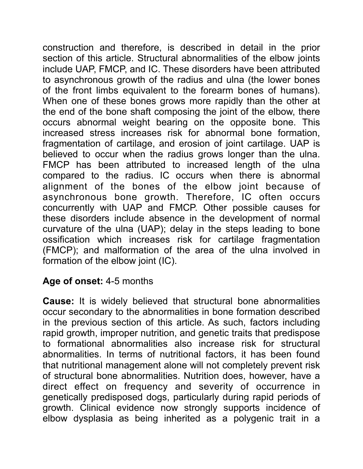construction and therefore, is described in detail in the prior section of this article. Structural abnormalities of the elbow joints include UAP, FMCP, and IC. These disorders have been attributed to asynchronous growth of the radius and ulna (the lower bones of the front limbs equivalent to the forearm bones of humans). When one of these bones grows more rapidly than the other at the end of the bone shaft composing the joint of the elbow, there occurs abnormal weight bearing on the opposite bone. This increased stress increases risk for abnormal bone formation, fragmentation of cartilage, and erosion of joint cartilage. UAP is believed to occur when the radius grows longer than the ulna. FMCP has been attributed to increased length of the ulna compared to the radius. IC occurs when there is abnormal alignment of the bones of the elbow joint because of asynchronous bone growth. Therefore, IC often occurs concurrently with UAP and FMCP. Other possible causes for these disorders include absence in the development of normal curvature of the ulna (UAP); delay in the steps leading to bone ossification which increases risk for cartilage fragmentation (FMCP); and malformation of the area of the ulna involved in formation of the elbow joint (IC).

## **Age of onset:** 4-5 months

**Cause:** It is widely believed that structural bone abnormalities occur secondary to the abnormalities in bone formation described in the previous section of this article. As such, factors including rapid growth, improper nutrition, and genetic traits that predispose to formational abnormalities also increase risk for structural abnormalities. In terms of nutritional factors, it has been found that nutritional management alone will not completely prevent risk of structural bone abnormalities. Nutrition does, however, have a direct effect on frequency and severity of occurrence in genetically predisposed dogs, particularly during rapid periods of growth. Clinical evidence now strongly supports incidence of elbow dysplasia as being inherited as a polygenic trait in a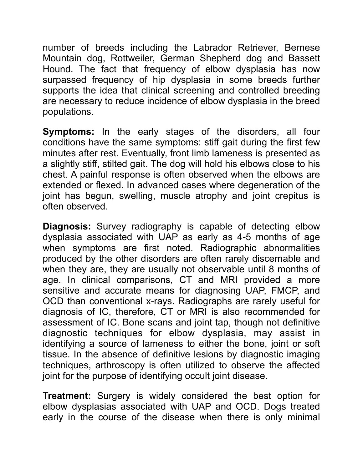number of breeds including the Labrador Retriever, Bernese Mountain dog, Rottweiler, German Shepherd dog and Bassett Hound. The fact that frequency of elbow dysplasia has now surpassed frequency of hip dysplasia in some breeds further supports the idea that clinical screening and controlled breeding are necessary to reduce incidence of elbow dysplasia in the breed populations.

**Symptoms:** In the early stages of the disorders, all four conditions have the same symptoms: stiff gait during the first few minutes after rest. Eventually, front limb lameness is presented as a slightly stiff, stilted gait. The dog will hold his elbows close to his chest. A painful response is often observed when the elbows are extended or flexed. In advanced cases where degeneration of the joint has begun, swelling, muscle atrophy and joint crepitus is often observed.

**Diagnosis:** Survey radiography is capable of detecting elbow dysplasia associated with UAP as early as 4-5 months of age when symptoms are first noted. Radiographic abnormalities produced by the other disorders are often rarely discernable and when they are, they are usually not observable until 8 months of age. In clinical comparisons, CT and MRI provided a more sensitive and accurate means for diagnosing UAP, FMCP, and OCD than conventional x-rays. Radiographs are rarely useful for diagnosis of IC, therefore, CT or MRI is also recommended for assessment of IC. Bone scans and joint tap, though not definitive diagnostic techniques for elbow dysplasia, may assist in identifying a source of lameness to either the bone, joint or soft tissue. In the absence of definitive lesions by diagnostic imaging techniques, arthroscopy is often utilized to observe the affected joint for the purpose of identifying occult joint disease.

**Treatment:** Surgery is widely considered the best option for elbow dysplasias associated with UAP and OCD. Dogs treated early in the course of the disease when there is only minimal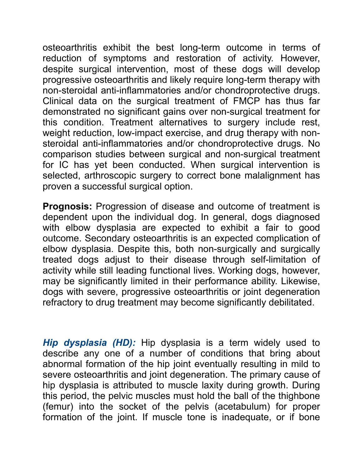osteoarthritis exhibit the best long-term outcome in terms of reduction of symptoms and restoration of activity. However, despite surgical intervention, most of these dogs will develop progressive osteoarthritis and likely require long-term therapy with non-steroidal anti-inflammatories and/or chondroprotective drugs. Clinical data on the surgical treatment of FMCP has thus far demonstrated no significant gains over non-surgical treatment for this condition. Treatment alternatives to surgery include rest, weight reduction, low-impact exercise, and drug therapy with nonsteroidal anti-inflammatories and/or chondroprotective drugs. No comparison studies between surgical and non-surgical treatment for IC has yet been conducted. When surgical intervention is selected, arthroscopic surgery to correct bone malalignment has proven a successful surgical option.

**Prognosis:** Progression of disease and outcome of treatment is dependent upon the individual dog. In general, dogs diagnosed with elbow dysplasia are expected to exhibit a fair to good outcome. Secondary osteoarthritis is an expected complication of elbow dysplasia. Despite this, both non-surgically and surgically treated dogs adjust to their disease through self-limitation of activity while still leading functional lives. Working dogs, however, may be significantly limited in their performance ability. Likewise, dogs with severe, progressive osteoarthritis or joint degeneration refractory to drug treatment may become significantly debilitated.

*Hip dysplasia (HD):* Hip dysplasia is a term widely used to describe any one of a number of conditions that bring about abnormal formation of the hip joint eventually resulting in mild to severe osteoarthritis and joint degeneration. The primary cause of hip dysplasia is attributed to muscle laxity during growth. During this period, the pelvic muscles must hold the ball of the thighbone (femur) into the socket of the pelvis (acetabulum) for proper formation of the joint. If muscle tone is inadequate, or if bone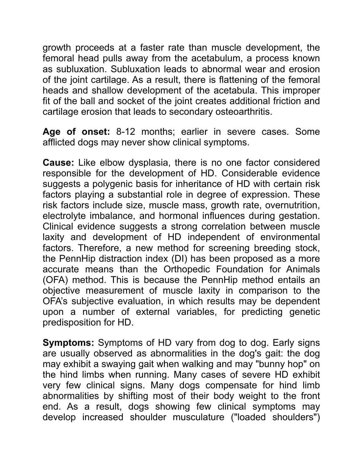growth proceeds at a faster rate than muscle development, the femoral head pulls away from the acetabulum, a process known as subluxation. Subluxation leads to abnormal wear and erosion of the joint cartilage. As a result, there is flattening of the femoral heads and shallow development of the acetabula. This improper fit of the ball and socket of the joint creates additional friction and cartilage erosion that leads to secondary osteoarthritis.

**Age of onset:** 8-12 months; earlier in severe cases. Some afflicted dogs may never show clinical symptoms.

**Cause:** Like elbow dysplasia, there is no one factor considered responsible for the development of HD. Considerable evidence suggests a polygenic basis for inheritance of HD with certain risk factors playing a substantial role in degree of expression. These risk factors include size, muscle mass, growth rate, overnutrition, electrolyte imbalance, and hormonal influences during gestation. Clinical evidence suggests a strong correlation between muscle laxity and development of HD independent of environmental factors. Therefore, a new method for screening breeding stock, the PennHip distraction index (DI) has been proposed as a more accurate means than the Orthopedic Foundation for Animals (OFA) method. This is because the PennHip method entails an objective measurement of muscle laxity in comparison to the OFA's subjective evaluation, in which results may be dependent upon a number of external variables, for predicting genetic predisposition for HD.

**Symptoms:** Symptoms of HD vary from dog to dog. Early signs are usually observed as abnormalities in the dog's gait: the dog may exhibit a swaying gait when walking and may "bunny hop" on the hind limbs when running. Many cases of severe HD exhibit very few clinical signs. Many dogs compensate for hind limb abnormalities by shifting most of their body weight to the front end. As a result, dogs showing few clinical symptoms may develop increased shoulder musculature ("loaded shoulders")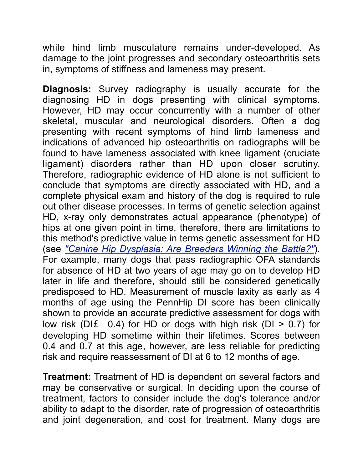while hind limb musculature remains under-developed. As damage to the joint progresses and secondary osteoarthritis sets in, symptoms of stiffness and lameness may present.

**Diagnosis:** Survey radiography is usually accurate for the diagnosing HD in dogs presenting with clinical symptoms. However, HD may occur concurrently with a number of other skeletal, muscular and neurological disorders. Often a dog presenting with recent symptoms of hind limb lameness and indications of advanced hip osteoarthritis on radiographs will be found to have lameness associated with knee ligament (cruciate ligament) disorders rather than HD upon closer scrutiny. Therefore, radiographic evidence of HD alone is not sufficient to conclude that symptoms are directly associated with HD, and a complete physical exam and history of the dog is required to rule out other disease processes. In terms of genetic selection against HD, x-ray only demonstrates actual appearance (phenotype) of hips at one given point in time, therefore, there are limitations to this method's predictive value in terms genetic assessment for HD (see *["Canine Hip Dysplasia: Are Breeders Winning the Battle?"](http://www.labbies.com/dysp2.htm)*). For example, many dogs that pass radiographic OFA standards for absence of HD at two years of age may go on to develop HD later in life and therefore, should still be considered genetically predisposed to HD. Measurement of muscle laxity as early as 4 months of age using the PennHip DI score has been clinically shown to provide an accurate predictive assessment for dogs with low risk (DI $f$  0.4) for HD or dogs with high risk (DI > 0.7) for developing HD sometime within their lifetimes. Scores between 0.4 and 0.7 at this age, however, are less reliable for predicting risk and require reassessment of DI at 6 to 12 months of age.

**Treatment:** Treatment of HD is dependent on several factors and may be conservative or surgical. In deciding upon the course of treatment, factors to consider include the dog's tolerance and/or ability to adapt to the disorder, rate of progression of osteoarthritis and joint degeneration, and cost for treatment. Many dogs are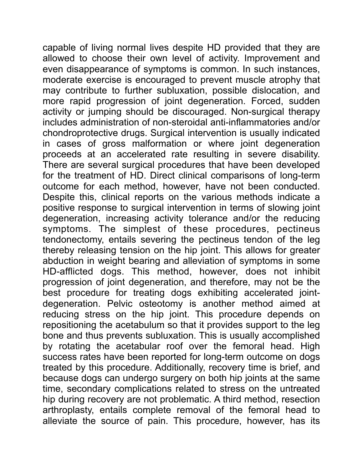capable of living normal lives despite HD provided that they are allowed to choose their own level of activity. Improvement and even disappearance of symptoms is common. In such instances, moderate exercise is encouraged to prevent muscle atrophy that may contribute to further subluxation, possible dislocation, and more rapid progression of joint degeneration. Forced, sudden activity or jumping should be discouraged. Non-surgical therapy includes administration of non-steroidal anti-inflammatories and/or chondroprotective drugs. Surgical intervention is usually indicated in cases of gross malformation or where joint degeneration proceeds at an accelerated rate resulting in severe disability. There are several surgical procedures that have been developed for the treatment of HD. Direct clinical comparisons of long-term outcome for each method, however, have not been conducted. Despite this, clinical reports on the various methods indicate a positive response to surgical intervention in terms of slowing joint degeneration, increasing activity tolerance and/or the reducing symptoms. The simplest of these procedures, pectineus tendonectomy, entails severing the pectineus tendon of the leg thereby releasing tension on the hip joint. This allows for greater abduction in weight bearing and alleviation of symptoms in some HD-afflicted dogs. This method, however, does not inhibit progression of joint degeneration, and therefore, may not be the best procedure for treating dogs exhibiting accelerated jointdegeneration. Pelvic osteotomy is another method aimed at reducing stress on the hip joint. This procedure depends on repositioning the acetabulum so that it provides support to the leg bone and thus prevents subluxation. This is usually accomplished by rotating the acetabular roof over the femoral head. High success rates have been reported for long-term outcome on dogs treated by this procedure. Additionally, recovery time is brief, and because dogs can undergo surgery on both hip joints at the same time, secondary complications related to stress on the untreated hip during recovery are not problematic. A third method, resection arthroplasty, entails complete removal of the femoral head to alleviate the source of pain. This procedure, however, has its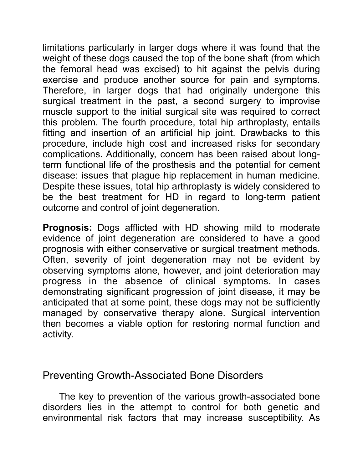limitations particularly in larger dogs where it was found that the weight of these dogs caused the top of the bone shaft (from which the femoral head was excised) to hit against the pelvis during exercise and produce another source for pain and symptoms. Therefore, in larger dogs that had originally undergone this surgical treatment in the past, a second surgery to improvise muscle support to the initial surgical site was required to correct this problem. The fourth procedure, total hip arthroplasty, entails fitting and insertion of an artificial hip joint. Drawbacks to this procedure, include high cost and increased risks for secondary complications. Additionally, concern has been raised about longterm functional life of the prosthesis and the potential for cement disease: issues that plague hip replacement in human medicine. Despite these issues, total hip arthroplasty is widely considered to be the best treatment for HD in regard to long-term patient outcome and control of joint degeneration.

**Prognosis:** Dogs afflicted with HD showing mild to moderate evidence of joint degeneration are considered to have a good prognosis with either conservative or surgical treatment methods. Often, severity of joint degeneration may not be evident by observing symptoms alone, however, and joint deterioration may progress in the absence of clinical symptoms. In cases demonstrating significant progression of joint disease, it may be anticipated that at some point, these dogs may not be sufficiently managed by conservative therapy alone. Surgical intervention then becomes a viable option for restoring normal function and activity.

## Preventing Growth-Associated Bone Disorders

 The key to prevention of the various growth-associated bone disorders lies in the attempt to control for both genetic and environmental risk factors that may increase susceptibility. As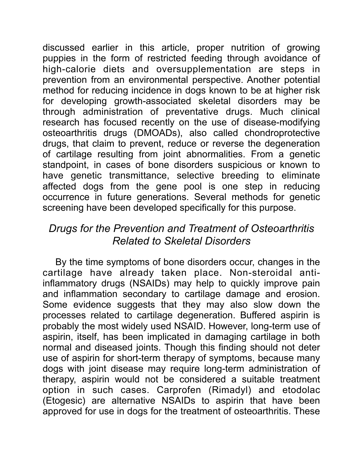discussed earlier in this article, proper nutrition of growing puppies in the form of restricted feeding through avoidance of high-calorie diets and oversupplementation are steps in prevention from an environmental perspective. Another potential method for reducing incidence in dogs known to be at higher risk for developing growth-associated skeletal disorders may be through administration of preventative drugs. Much clinical research has focused recently on the use of disease-modifying osteoarthritis drugs (DMOADs), also called chondroprotective drugs, that claim to prevent, reduce or reverse the degeneration of cartilage resulting from joint abnormalities. From a genetic standpoint, in cases of bone disorders suspicious or known to have genetic transmittance, selective breeding to eliminate affected dogs from the gene pool is one step in reducing occurrence in future generations. Several methods for genetic screening have been developed specifically for this purpose.

# *Drugs for the Prevention and Treatment of Osteoarthritis Related to Skeletal Disorders*

 By the time symptoms of bone disorders occur, changes in the cartilage have already taken place. Non-steroidal antiinflammatory drugs (NSAIDs) may help to quickly improve pain and inflammation secondary to cartilage damage and erosion. Some evidence suggests that they may also slow down the processes related to cartilage degeneration. Buffered aspirin is probably the most widely used NSAID. However, long-term use of aspirin, itself, has been implicated in damaging cartilage in both normal and diseased joints. Though this finding should not deter use of aspirin for short-term therapy of symptoms, because many dogs with joint disease may require long-term administration of therapy, aspirin would not be considered a suitable treatment option in such cases. Carprofen (Rimadyl) and etodolac (Etogesic) are alternative NSAIDs to aspirin that have been approved for use in dogs for the treatment of osteoarthritis. These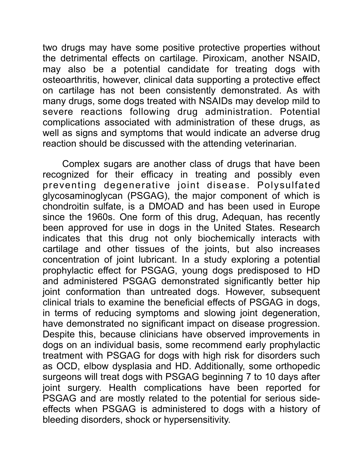two drugs may have some positive protective properties without the detrimental effects on cartilage. Piroxicam, another NSAID, may also be a potential candidate for treating dogs with osteoarthritis, however, clinical data supporting a protective effect on cartilage has not been consistently demonstrated. As with many drugs, some dogs treated with NSAIDs may develop mild to severe reactions following drug administration. Potential complications associated with administration of these drugs, as well as signs and symptoms that would indicate an adverse drug reaction should be discussed with the attending veterinarian.

 Complex sugars are another class of drugs that have been recognized for their efficacy in treating and possibly even preventing degenerative joint disease. Polysulfated glycosaminoglycan (PSGAG), the major component of which is chondroitin sulfate, is a DMOAD and has been used in Europe since the 1960s. One form of this drug, Adequan, has recently been approved for use in dogs in the United States. Research indicates that this drug not only biochemically interacts with cartilage and other tissues of the joints, but also increases concentration of joint lubricant. In a study exploring a potential prophylactic effect for PSGAG, young dogs predisposed to HD and administered PSGAG demonstrated significantly better hip joint conformation than untreated dogs. However, subsequent clinical trials to examine the beneficial effects of PSGAG in dogs, in terms of reducing symptoms and slowing joint degeneration, have demonstrated no significant impact on disease progression. Despite this, because clinicians have observed improvements in dogs on an individual basis, some recommend early prophylactic treatment with PSGAG for dogs with high risk for disorders such as OCD, elbow dysplasia and HD. Additionally, some orthopedic surgeons will treat dogs with PSGAG beginning 7 to 10 days after joint surgery. Health complications have been reported for PSGAG and are mostly related to the potential for serious sideeffects when PSGAG is administered to dogs with a history of bleeding disorders, shock or hypersensitivity.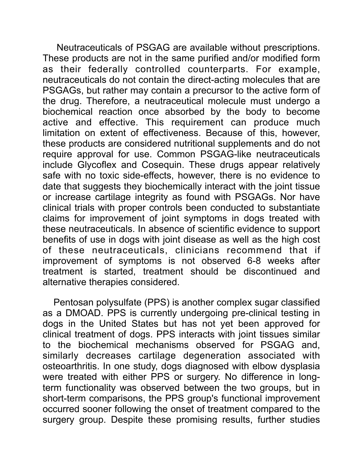Neutraceuticals of PSGAG are available without prescriptions. These products are not in the same purified and/or modified form as their federally controlled counterparts. For example, neutraceuticals do not contain the direct-acting molecules that are PSGAGs, but rather may contain a precursor to the active form of the drug. Therefore, a neutraceutical molecule must undergo a biochemical reaction once absorbed by the body to become active and effective. This requirement can produce much limitation on extent of effectiveness. Because of this, however, these products are considered nutritional supplements and do not require approval for use. Common PSGAG-like neutraceuticals include Glycoflex and Cosequin. These drugs appear relatively safe with no toxic side-effects, however, there is no evidence to date that suggests they biochemically interact with the joint tissue or increase cartilage integrity as found with PSGAGs. Nor have clinical trials with proper controls been conducted to substantiate claims for improvement of joint symptoms in dogs treated with these neutraceuticals. In absence of scientific evidence to support benefits of use in dogs with joint disease as well as the high cost of these neutraceuticals, clinicians recommend that if improvement of symptoms is not observed 6-8 weeks after treatment is started, treatment should be discontinued and alternative therapies considered.

 Pentosan polysulfate (PPS) is another complex sugar classified as a DMOAD. PPS is currently undergoing pre-clinical testing in dogs in the United States but has not yet been approved for clinical treatment of dogs. PPS interacts with joint tissues similar to the biochemical mechanisms observed for PSGAG and, similarly decreases cartilage degeneration associated with osteoarthritis. In one study, dogs diagnosed with elbow dysplasia were treated with either PPS or surgery. No difference in longterm functionality was observed between the two groups, but in short-term comparisons, the PPS group's functional improvement occurred sooner following the onset of treatment compared to the surgery group. Despite these promising results, further studies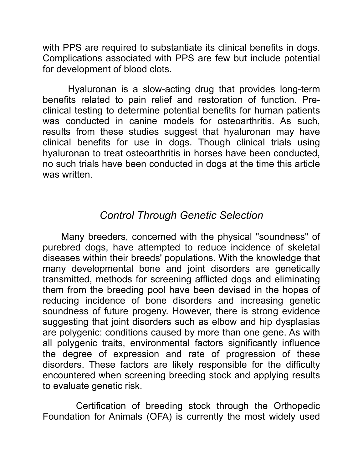with PPS are required to substantiate its clinical benefits in dogs. Complications associated with PPS are few but include potential for development of blood clots.

 Hyaluronan is a slow-acting drug that provides long-term benefits related to pain relief and restoration of function. Preclinical testing to determine potential benefits for human patients was conducted in canine models for osteoarthritis. As such, results from these studies suggest that hyaluronan may have clinical benefits for use in dogs. Though clinical trials using hyaluronan to treat osteoarthritis in horses have been conducted, no such trials have been conducted in dogs at the time this article was written.

## *Control Through Genetic Selection*

 Many breeders, concerned with the physical "soundness" of purebred dogs, have attempted to reduce incidence of skeletal diseases within their breeds' populations. With the knowledge that many developmental bone and joint disorders are genetically transmitted, methods for screening afflicted dogs and eliminating them from the breeding pool have been devised in the hopes of reducing incidence of bone disorders and increasing genetic soundness of future progeny. However, there is strong evidence suggesting that joint disorders such as elbow and hip dysplasias are polygenic: conditions caused by more than one gene. As with all polygenic traits, environmental factors significantly influence the degree of expression and rate of progression of these disorders. These factors are likely responsible for the difficulty encountered when screening breeding stock and applying results to evaluate genetic risk.

 Certification of breeding stock through the Orthopedic Foundation for Animals (OFA) is currently the most widely used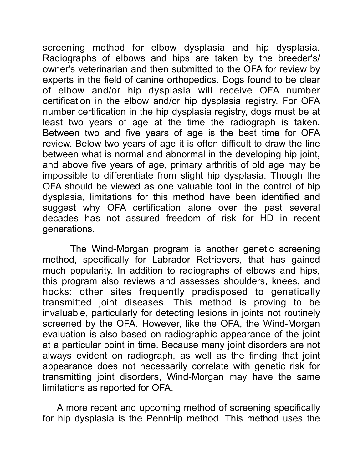screening method for elbow dysplasia and hip dysplasia. Radiographs of elbows and hips are taken by the breeder's/ owner's veterinarian and then submitted to the OFA for review by experts in the field of canine orthopedics. Dogs found to be clear of elbow and/or hip dysplasia will receive OFA number certification in the elbow and/or hip dysplasia registry. For OFA number certification in the hip dysplasia registry, dogs must be at least two years of age at the time the radiograph is taken. Between two and five years of age is the best time for OFA review. Below two years of age it is often difficult to draw the line between what is normal and abnormal in the developing hip joint, and above five years of age, primary arthritis of old age may be impossible to differentiate from slight hip dysplasia. Though the OFA should be viewed as one valuable tool in the control of hip dysplasia, limitations for this method have been identified and suggest why OFA certification alone over the past several decades has not assured freedom of risk for HD in recent generations.

 The Wind-Morgan program is another genetic screening method, specifically for Labrador Retrievers, that has gained much popularity. In addition to radiographs of elbows and hips, this program also reviews and assesses shoulders, knees, and hocks: other sites frequently predisposed to genetically transmitted joint diseases. This method is proving to be invaluable, particularly for detecting lesions in joints not routinely screened by the OFA. However, like the OFA, the Wind-Morgan evaluation is also based on radiographic appearance of the joint at a particular point in time. Because many joint disorders are not always evident on radiograph, as well as the finding that joint appearance does not necessarily correlate with genetic risk for transmitting joint disorders, Wind-Morgan may have the same limitations as reported for OFA.

 A more recent and upcoming method of screening specifically for hip dysplasia is the PennHip method. This method uses the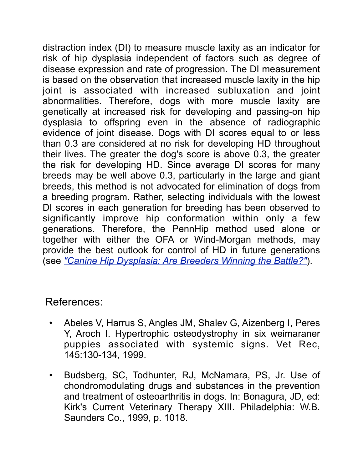distraction index (DI) to measure muscle laxity as an indicator for risk of hip dysplasia independent of factors such as degree of disease expression and rate of progression. The DI measurement is based on the observation that increased muscle laxity in the hip joint is associated with increased subluxation and joint abnormalities. Therefore, dogs with more muscle laxity are genetically at increased risk for developing and passing-on hip dysplasia to offspring even in the absence of radiographic evidence of joint disease. Dogs with DI scores equal to or less than 0.3 are considered at no risk for developing HD throughout their lives. The greater the dog's score is above 0.3, the greater the risk for developing HD. Since average DI scores for many breeds may be well above 0.3, particularly in the large and giant breeds, this method is not advocated for elimination of dogs from a breeding program. Rather, selecting individuals with the lowest DI scores in each generation for breeding has been observed to significantly improve hip conformation within only a few generations. Therefore, the PennHip method used alone or together with either the OFA or Wind-Morgan methods, may provide the best outlook for control of HD in future generations (see *["Canine Hip Dysplasia: Are Breeders Winning the Battle?"](http://www.labbies.com/dysp2.htm)*).

# References:

- Abeles V, Harrus S, Angles JM, Shalev G, Aizenberg I, Peres Y, Aroch I. Hypertrophic osteodystrophy in six weimaraner puppies associated with systemic signs. Vet Rec, 145:130-134, 1999.
- Budsberg, SC, Todhunter, RJ, McNamara, PS, Jr. Use of chondromodulating drugs and substances in the prevention and treatment of osteoarthritis in dogs. In: Bonagura, JD, ed: Kirk's Current Veterinary Therapy XIII. Philadelphia: W.B. Saunders Co., 1999, p. 1018.